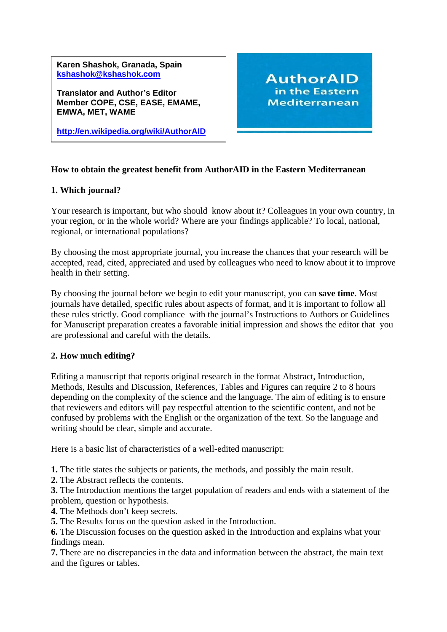**Karen Shashok, Granada, Spain [kshashok@kshashok.com](mailto:kshashok@kshashok.com)**

**Translator and Author's Editor Member COPE, CSE, EASE, EMAME, EMWA, MET, WAME** 

**<http://en.wikipedia.org/wiki/AuthorAID>** 

**AuthorAID** in the Eastern **Mediterranean** 

## **How to obtain the greatest benefit from AuthorAID in the Eastern Mediterranean**

### **1. Which journal?**

Your research is important, but who should know about it? Colleagues in your own country, in your region, or in the whole world? Where are your findings applicable? To local, national, regional, or international populations?

By choosing the most appropriate journal, you increase the chances that your research will be accepted, read, cited, appreciated and used by colleagues who need to know about it to improve health in their setting.

By choosing the journal before we begin to edit your manuscript, you can **save time**. Most journals have detailed, specific rules about aspects of format, and it is important to follow all these rules strictly. Good compliance with the journal's Instructions to Authors or Guidelines for Manuscript preparation creates a favorable initial impression and shows the editor that you are professional and careful with the details.

#### **2. How much editing?**

Editing a manuscript that reports original research in the format Abstract, Introduction, Methods, Results and Discussion, References, Tables and Figures can require 2 to 8 hours depending on the complexity of the science and the language. The aim of editing is to ensure that reviewers and editors will pay respectful attention to the scientific content, and not be confused by problems with the English or the organization of the text. So the language and writing should be clear, simple and accurate.

Here is a basic list of characteristics of a well-edited manuscript:

**1.** The title states the subjects or patients, the methods, and possibly the main result.

**2.** The Abstract reflects the contents.

**3.** The Introduction mentions the target population of readers and ends with a statement of the problem, question or hypothesis.

- **4.** The Methods don't keep secrets.
- **5.** The Results focus on the question asked in the Introduction.

**6.** The Discussion focuses on the question asked in the Introduction and explains what your findings mean.

**7.** There are no discrepancies in the data and information between the abstract, the main text and the figures or tables.